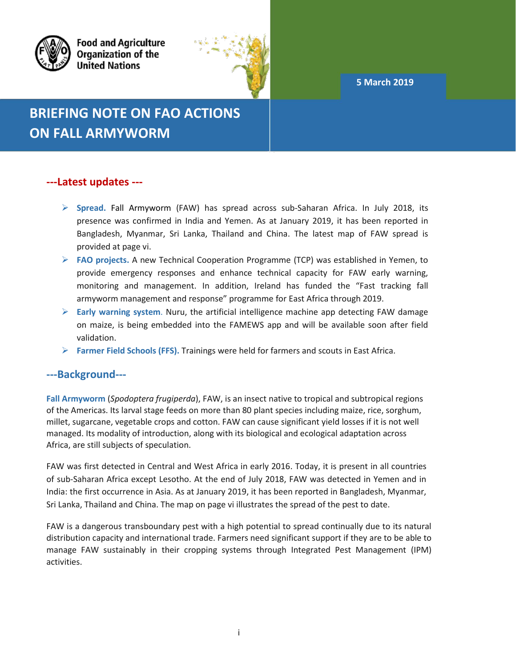**5 March 2019**



**Food and Agriculture Organization of the United Nations** 



# **BRIEFING NOTE ON FAO ACTIONS ON FALL ARMYWORM**

## **---Latest updates ---**

- **Spread.** Fall Armyworm (FAW) has spread across sub-Saharan Africa. In July 2018, its presence was confirmed in India and Yemen. As at January 2019, it has been reported in Bangladesh, Myanmar, Sri Lanka, Thailand and China. The latest map of FAW spread is provided at page vi.
- **FAO projects.** A new Technical Cooperation Programme (TCP) was established in Yemen, to provide emergency responses and enhance technical capacity for FAW early warning, monitoring and management. In addition, Ireland has funded the "Fast tracking fall armyworm management and response" programme for East Africa through 2019.
- **Early warning system**. Nuru, the artificial intelligence machine app detecting FAW damage on maize, is being embedded into the FAMEWS app and will be available soon after field validation.
- **Farmer Field Schools (FFS).** Trainings were held for farmers and scouts in East Africa.

## **---Background---**

**Fall Armyworm** (*Spodoptera frugiperda*), FAW, is an insect native to tropical and subtropical regions of the Americas. Its larval stage feeds on more than 80 plant species including maize, rice, sorghum, millet, sugarcane, vegetable crops and cotton. FAW can cause significant yield losses if it is not well managed. Its modality of introduction, along with its biological and ecological adaptation across Africa, are still subjects of speculation.

FAW was first detected in Central and West Africa in early 2016. Today, it is present in all countries of sub-Saharan Africa except Lesotho. At the end of July 2018, FAW was detected in Yemen and in India: the first occurrence in Asia. As at January 2019, it has been reported in Bangladesh, Myanmar, Sri Lanka, Thailand and China. The map on page vi illustrates the spread of the pest to date.

FAW is a dangerous transboundary pest with a high potential to spread continually due to its natural distribution capacity and international trade. Farmers need significant support if they are to be able to manage FAW sustainably in their cropping systems through Integrated Pest Management (IPM) activities.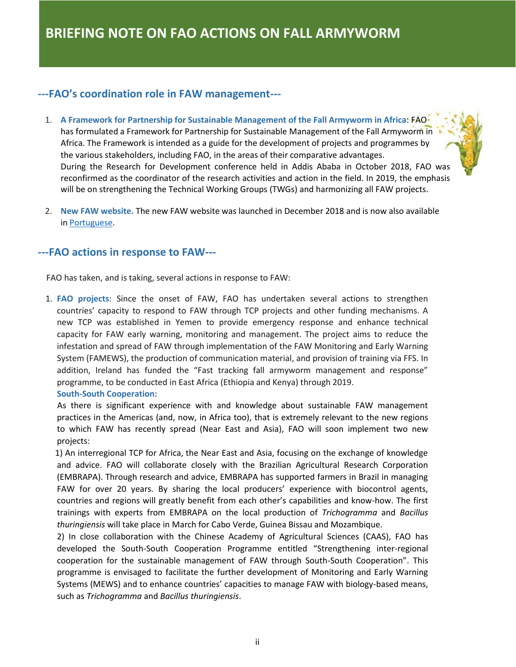## **---FAO's coordination role in FAW management---**

- 1. **A Framework for Partnership for Sustainable Management of the Fall Armyworm in Africa**: FAO has formulated a Framework for Partnership for Sustainable Management of the Fall Armyworm in Africa. The Framework is intended as a guide for the development of projects and programmes by the various stakeholders, including FAO, in the areas of their comparative advantages. During the Research for Development conference held in Addis Ababa in October 2018, FAO was reconfirmed as the coordinator of the research activities and action in the field. In 2019, the emphasis will be on strengthening the Technical Working Groups (TWGs) and harmonizing all FAW projects.
- 2. **New FAW website.** The new FAW website was launched in December 2018 and is now also available in [Portuguese.](http://www.fao.org/fall-armyworm/pt/)

### **---FAO actions in response to FAW---**

FAO has taken, and is taking, several actions in response to FAW:

1. **FAO projects**: Since the onset of FAW, FAO has undertaken several actions to strengthen countries' capacity to respond to FAW through TCP projects and other funding mechanisms. A new TCP was established in Yemen to provide emergency response and enhance technical capacity for FAW early warning, monitoring and management. The project aims to reduce the infestation and spread of FAW through implementation of the FAW Monitoring and Early Warning System (FAMEWS), the production of communication material, and provision of training via FFS. In addition, Ireland has funded the "Fast tracking fall armyworm management and response" programme, to be conducted in East Africa (Ethiopia and Kenya) through 2019.

#### **South-South Cooperation:**

 As there is significant experience with and knowledge about sustainable FAW management practices in the Americas (and, now, in Africa too), that is extremely relevant to the new regions to which FAW has recently spread (Near East and Asia), FAO will soon implement two new projects:

 1) An interregional TCP for Africa, the Near East and Asia, focusing on the exchange of knowledge and advice. FAO will collaborate closely with the Brazilian Agricultural Research Corporation (EMBRAPA). Through research and advice, EMBRAPA has supported farmers in Brazil in managing FAW for over 20 years. By sharing the local producers' experience with biocontrol agents, countries and regions will greatly benefit from each other's capabilities and know-how. The first trainings with experts from EMBRAPA on the local production of *Trichogramma* and *Bacillus thuringiensis* will take place in March for Cabo Verde, Guinea Bissau and Mozambique.

2) In close collaboration with the Chinese Academy of Agricultural Sciences (CAAS), FAO has developed the South-South Cooperation Programme entitled "Strengthening inter-regional cooperation for the sustainable management of FAW through South-South Cooperation". This programme is envisaged to facilitate the further development of Monitoring and Early Warning Systems (MEWS) and to enhance countries' capacities to manage FAW with biology-based means, such as *Trichogramma* and *Bacillus thuringiensis*.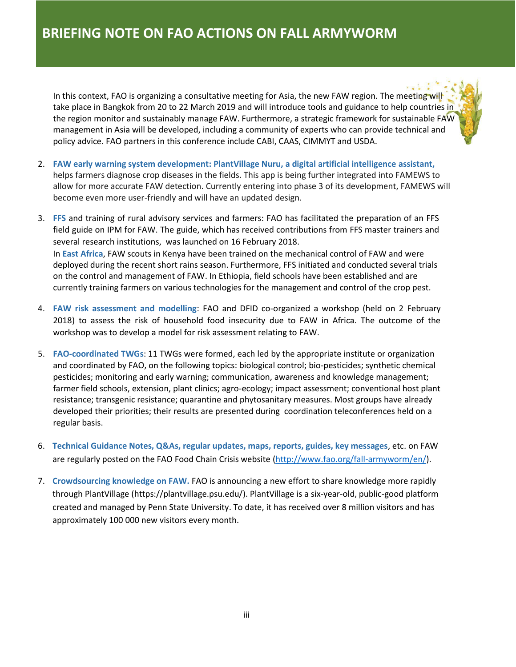In this context, FAO is organizing a [consultative meeting](http://www.fao.org/fall-armyworm/programme-and-partners/expert-meetings/bangkok/en/) for Asia, the new FAW region. The meeting will take place in Bangkok from 20 to 22 March 2019 and will introduce tools and guidance to help countries in the region monitor and sustainably manage FAW. Furthermore, a strategic framework for sustainable FAW management in Asia will be developed, including a community of experts who can provide technical and policy advice. FAO partners in this conference include CABI, CAAS, CIMMYT and USDA.

- 2. **FAW early warning system development: PlantVillage Nuru, a digital artificial intelligence assistant,** helps farmers diagnose crop diseases in the fields. This app is being further integrated into FAMEWS to allow for more accurate FAW detection. Currently entering into phase 3 of its development, FAMEWS will become even more user-friendly and will have an updated design.
- 3. **FFS** and training of rural advisory services and farmers: FAO has facilitated the preparation of an FFS field guide on IPM for FAW. The guide, which has received contributions from FFS master trainers and several research institutions, was launched on 16 February 2018. In **East Africa**, FAW scouts in Kenya have been trained on the mechanical control of FAW and were deployed during the recent short rains season. Furthermore, FFS initiated and conducted several trials on the control and management of FAW. In Ethiopia, field schools have been established and are currently training farmers on various technologies for the management and control of the crop pest.
- 4. **FAW risk assessment and modelling**: FAO and DFID co-organized a workshop (held on 2 February 2018) to assess the risk of household food insecurity due to FAW in Africa. The outcome of the workshop was to develop a model for risk assessment relating to FAW.
- 5. **FAO-coordinated TWGs**: 11 TWGs were formed, each led by the appropriate institute or organization and coordinated by FAO, on the following topics: biological control; bio-pesticides; synthetic chemical pesticides; monitoring and early warning; communication, awareness and knowledge management; farmer field schools, extension, plant clinics; agro-ecology; impact assessment; conventional host plant resistance; transgenic resistance; quarantine and phytosanitary measures. Most groups have already developed their priorities; their results are presented during coordination teleconferences held on a regular basis.
- 6. **Technical Guidance Notes, Q&As, regular updates, maps, reports, guides, key messages**, etc. on FAW are regularly posted on the FAO Food Chain Crisis websit[e \(http://www.fao.org/fall-armyworm/en/\)](http://www.fao.org/fall-armyworm/en/).
- 7. **Crowdsourcing knowledge on FAW.** FAO is announcing a new effort to share knowledge more rapidly through PlantVillage [\(https://plantvillage.psu.edu/\). PlantVillage](https://plantvillage.psu.edu/) is a six-year-old, public-good platform created and managed by Penn State University. To date, it has received over 8 million visitors and has approximately 100 000 new visitors every month.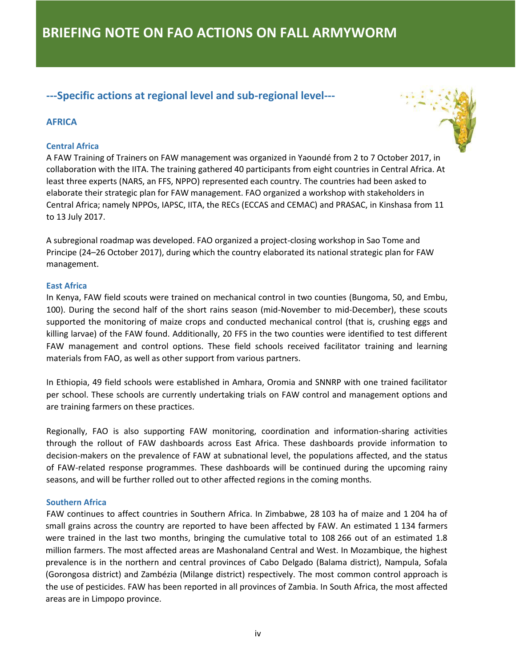## **---Specific actions at regional level and sub-regional level---**

### **AFRICA**

#### **Central Africa**



A FAW Training of Trainers on FAW management was organized in Yaoundé from 2 to 7 October 2017, in collaboration with the IITA. The training gathered 40 participants from eight countries in Central Africa. At least three experts (NARS, an FFS, NPPO) represented each country. The countries had been asked to elaborate their strategic plan for FAW management. FAO organized a workshop with stakeholders in Central Africa; namely NPPOs, IAPSC, IITA, the RECs (ECCAS and CEMAC) and PRASAC, in Kinshasa from 11 to 13 July 2017.

A subregional roadmap was developed. FAO organized a project-closing workshop in Sao Tome and Principe (24–26 October 2017), during which the country elaborated its national strategic plan for FAW management.

#### **East Africa**

In Kenya, FAW field scouts were trained on mechanical control in two counties (Bungoma, 50, and Embu, 100). During the second half of the short rains season (mid-November to mid-December), these scouts supported the monitoring of maize crops and conducted mechanical control (that is, crushing eggs and killing larvae) of the FAW found. Additionally, 20 FFS in the two counties were identified to test different FAW management and control options. These field schools received facilitator training and learning materials from FAO, as well as other support from various partners.

In Ethiopia, 49 field schools were established in Amhara, Oromia and SNNRP with one trained facilitator per school. These schools are currently undertaking trials on FAW control and management options and are training farmers on these practices.

Regionally, FAO is also supporting FAW monitoring, coordination and information-sharing activities through the rollout of FAW dashboards across East Africa. These dashboards provide information to decision-makers on the prevalence of FAW at subnational level, the populations affected, and the status of FAW-related response programmes. These dashboards will be continued during the upcoming rainy seasons, and will be further rolled out to other affected regions in the coming months.

#### **Southern Africa**

 FAW continues to affect countries in Southern Africa. In Zimbabwe, 28 103 ha of maize and 1 204 ha of small grains across the country are reported to have been affected by FAW. An estimated 1 134 farmers were trained in the last two months, bringing the cumulative total to 108 266 out of an estimated 1.8 million farmers. The most affected areas are Mashonaland Central and West. In Mozambique, the highest prevalence is in the northern and central provinces of Cabo Delgado (Balama district), Nampula, Sofala (Gorongosa district) and Zambézia (Milange district) respectively. The most common control approach is the use of pesticides. FAW has been reported in all provinces of Zambia. In South Africa, the most affected areas are in Limpopo province.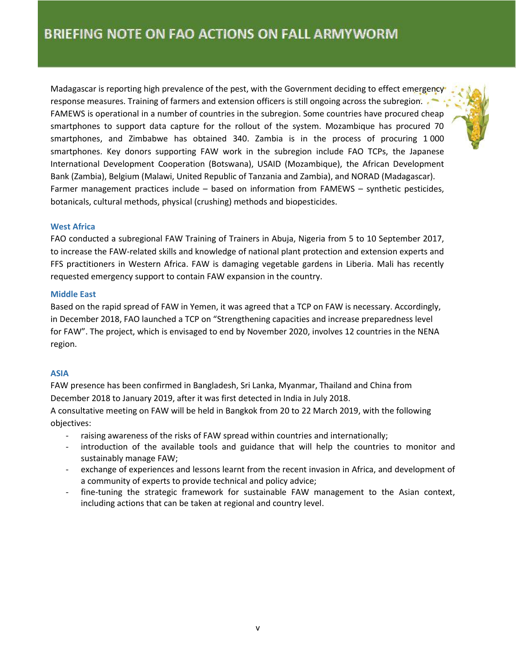Madagascar is reporting high prevalence of the pest, with the Government deciding to effect emergency response measures. Training of farmers and extension officers is still ongoing across the subregion. FAMEWS is operational in a number of countries in the subregion. Some countries have procured cheap smartphones to support data capture for the rollout of the system. Mozambique has procured 70 smartphones, and Zimbabwe has obtained 340. Zambia is in the process of procuring 1 000 smartphones. Key donors supporting FAW work in the subregion include FAO TCPs, the Japanese International Development Cooperation (Botswana), USAID (Mozambique), the African Development Bank (Zambia), Belgium (Malawi, United Republic of Tanzania and Zambia), and NORAD (Madagascar). Farmer management practices include – based on information from FAMEWS – synthetic pesticides, botanicals, cultural methods, physical (crushing) methods and biopesticides.

#### **West Africa**

FAO conducted a subregional FAW Training of Trainers in Abuja, Nigeria from 5 to 10 September 2017, to increase the FAW-related skills and knowledge of national plant protection and extension experts and FFS practitioners in Western Africa. FAW is damaging vegetable gardens in Liberia. Mali has recently requested emergency support to contain FAW expansion in the country.

#### **Middle East**

Based on the rapid spread of FAW in Yemen, it was agreed that a TCP on FAW is necessary. Accordingly, in December 2018, FAO launched a TCP on "Strengthening capacities and increase preparedness level for FAW". The project, which is envisaged to end by November 2020, involves 12 countries in the NENA region.

#### **ASIA**

FAW presence has been confirmed in Bangladesh, Sri Lanka, Myanmar, Thailand and China from December 2018 to January 2019, after it was first detected [in India in July](https://www.telegraph.co.uk/news/2018/08/16/dreaded-fall-armyworm-pest-devastated-african-crops-found-first/) 2018.

A consultative meeting on FAW will be held in Bangkok from 20 to 22 March 2019, with the following objectives:

- raising awareness of the risks of FAW spread within countries and internationally;
- introduction of the available tools and guidance that will help the countries to monitor and sustainably manage FAW;
- exchange of experiences and lessons learnt from the recent invasion in Africa, and development of a community of experts to provide technical and policy advice;
- fine-tuning the strategic framework for sustainable FAW management to the Asian context, including actions that can be taken at regional and country level.